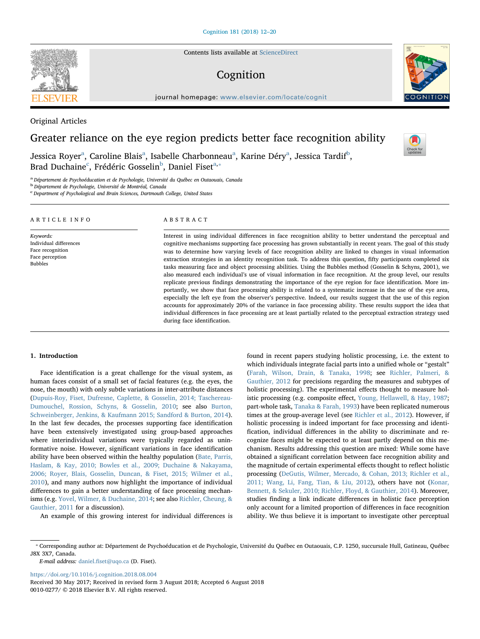Contents lists available at [ScienceDirect](http://www.sciencedirect.com/science/journal/00100277)

# Cognition

journal homepage: [www.elsevier.com/locate/cognit](https://www.elsevier.com/locate/cognit)

Original Articles

# Greater reliance on the eye region predicts better face recognition ability

Jessic[a](#page-0-0) Royer<sup>a</sup>, Caroline Blais<sup>a</sup>, Isa[b](#page-0-1)elle Charbonneau<sup>a</sup>, Karine Déry<sup>a</sup>, Jessica Tardif<sup>b</sup>, Brad Du[c](#page-0-2)haine<sup>c</sup>, Frédéric Gosselin<sup>[b](#page-0-1)</sup>, Daniel Fiset<sup>[a,](#page-0-0)\*</sup>

during face identification.

<span id="page-0-0"></span><sup>a</sup> Département de Psychoéducation et de Psychologie, Université du Québec en Outaouais, Canada

<span id="page-0-1"></span>b Département de Psychologie, Université de Montréal, Canada

<span id="page-0-2"></span>c<br>
C Department of Psychological and Brain Sciences, Dartmouth College, United States

| ARTICLE INFO                                                                                 | ABSTRACT                                                                                                                                                                                                                                                                                                                                                                                                                                                                                                                                                                                                                                                                                                                                                                                                                                                                                                                                                                                                                                                                                                                                                                                                                                                                                              |
|----------------------------------------------------------------------------------------------|-------------------------------------------------------------------------------------------------------------------------------------------------------------------------------------------------------------------------------------------------------------------------------------------------------------------------------------------------------------------------------------------------------------------------------------------------------------------------------------------------------------------------------------------------------------------------------------------------------------------------------------------------------------------------------------------------------------------------------------------------------------------------------------------------------------------------------------------------------------------------------------------------------------------------------------------------------------------------------------------------------------------------------------------------------------------------------------------------------------------------------------------------------------------------------------------------------------------------------------------------------------------------------------------------------|
| Keywords:<br>Individual differences<br>Face recognition<br>Face perception<br><b>Bubbles</b> | Interest in using individual differences in face recognition ability to better understand the perceptual and<br>cognitive mechanisms supporting face processing has grown substantially in recent years. The goal of this study<br>was to determine how varying levels of face recognition ability are linked to changes in visual information<br>extraction strategies in an identity recognition task. To address this question, fifty participants completed six<br>tasks measuring face and object processing abilities. Using the Bubbles method (Gosselin & Schyns, 2001), we<br>also measured each individual's use of visual information in face recognition. At the group level, our results<br>replicate previous findings demonstrating the importance of the eye region for face identification. More im-<br>portantly, we show that face processing ability is related to a systematic increase in the use of the eye area,<br>especially the left eve from the observer's perspective. Indeed, our results suggest that the use of this region<br>accounts for approximately 20% of the variance in face processing ability. These results support the idea that<br>individual differences in face processing are at least partially related to the perceptual extraction strategy used |

## 1. Introduction

Face identification is a great challenge for the visual system, as human faces consist of a small set of facial features (e.g. the eyes, the nose, the mouth) with only subtle variations in inter-attribute distances ([Dupuis-Roy, Fiset, Dufresne, Caplette, & Gosselin, 2014; Taschereau-](#page-7-0)[Dumouchel, Rossion, Schyns, & Gosselin, 2010;](#page-7-0) see also [Burton,](#page-7-1) [Schweinberger, Jenkins, & Kaufmann 2015; Sandford & Burton, 2014](#page-7-1)). In the last few decades, the processes supporting face identification have been extensively investigated using group-based approaches where interindividual variations were typically regarded as uninformative noise. However, significant variations in face identification ability have been observed within the healthy population ([Bate, Parris,](#page-7-2) [Haslam, & Kay, 2010; Bowles et al., 2009; Duchaine & Nakayama,](#page-7-2) [2006; Royer, Blais, Gosselin, Duncan, & Fiset, 2015; Wilmer et al.,](#page-7-2) [2010\)](#page-7-2), and many authors now highlight the importance of individual differences to gain a better understanding of face processing mechanisms (e.g. [Yovel, Wilmer, & Duchaine, 2014;](#page-8-0) see also [Richler, Cheung, &](#page-8-1) [Gauthier, 2011](#page-8-1) for a discussion).

An example of this growing interest for individual differences is

found in recent papers studying holistic processing, i.e. the extent to which individuals integrate facial parts into a unified whole or "gestalt" ([Farah, Wilson, Drain, & Tanaka, 1998;](#page-7-3) see [Richler, Palmeri, &](#page-8-2) [Gauthier, 2012](#page-8-2) for precisions regarding the measures and subtypes of holistic processing). The experimental effects thought to measure holistic processing (e.g. composite effect, [Young, Hellawell, & Hay, 1987](#page-8-3); part-whole task, [Tanaka & Farah, 1993](#page-8-4)) have been replicated numerous times at the group-average level (see [Richler et al., 2012](#page-8-2)). However, if holistic processing is indeed important for face processing and identification, individual differences in the ability to discriminate and recognize faces might be expected to at least partly depend on this mechanism. Results addressing this question are mixed: While some have obtained a significant correlation between face recognition ability and the magnitude of certain experimental effects thought to reflect holistic processing ([DeGutis, Wilmer, Mercado, & Cohan, 2013; Richler et al.,](#page-7-4) [2011; Wang, Li, Fang, Tian, & Liu, 2012](#page-7-4)), others have not [\(Konar,](#page-7-5) [Bennett, & Sekuler, 2010; Richler, Floyd, & Gauthier, 2014](#page-7-5)). Moreover, studies finding a link indicate differences in holistic face perception only account for a limited proportion of differences in face recognition ability. We thus believe it is important to investigate other perceptual

E-mail address: daniel.fi[set@uqo.ca](mailto:daniel.fiset@uqo.ca) (D. Fiset).

<https://doi.org/10.1016/j.cognition.2018.08.004>





Check for<br>updates

<span id="page-0-3"></span><sup>⁎</sup> Corresponding author at: Département de Psychoéducation et de Psychologie, Université du Québec en Outaouais, C.P. 1250, succursale Hull, Gatineau, Québec J8X 3X7, Canada.

Received 30 May 2017; Received in revised form 3 August 2018; Accepted 6 August 2018 0010-0277/ © 2018 Elsevier B.V. All rights reserved.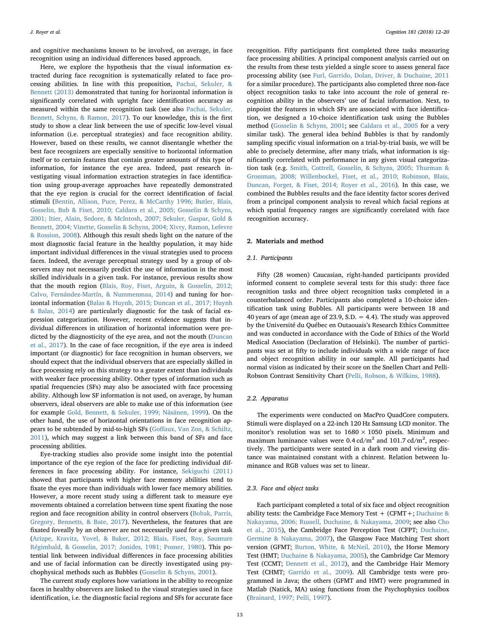and cognitive mechanisms known to be involved, on average, in face recognition using an individual differences based approach.

Here, we explore the hypothesis that the visual information extracted during face recognition is systematically related to face processing abilities. In line with this proposition, [Pachai, Sekuler, &](#page-8-5) [Bennett \(2013\)](#page-8-5) demonstrated that tuning for horizontal information is significantly correlated with upright face identification accuracy as measured within the same recognition task (see also [Pachai, Sekuler,](#page-8-6) [Bennett, Schyns, & Ramon, 2017\)](#page-8-6). To our knowledge, this is the first study to show a clear link between the use of specific low-level visual information (i.e. perceptual strategies) and face recognition ability. However, based on these results, we cannot disentangle whether the best face recognizers are especially sensitive to horizontal information itself or to certain features that contain greater amounts of this type of information, for instance the eye area. Indeed, past research investigating visual information extraction strategies in face identification using group-average approaches have repeatedly demonstrated that the eye region is crucial for the correct identification of facial stimuli [\(Bentin, Allison, Puce, Perez, & McCarthy 1996; Butler, Blais,](#page-7-6) [Gosselin, Bub & Fiset, 2010; Caldara et al., 2005; Gosselin & Schyns,](#page-7-6) [2001; Itier, Alain, Sedore, & McIntosh, 2007; Sekuler, Gaspar, Gold &](#page-7-6) [Bennett, 2004; Vinette, Gosselin & Schyns, 2004; Xivry, Ramon, Lefevre](#page-7-6) [& Rossion, 2008\)](#page-7-6). Although this result sheds light on the nature of the most diagnostic facial feature in the healthy population, it may hide important individual differences in the visual strategies used to process faces. Indeed, the average perceptual strategy used by a group of observers may not necessarily predict the use of information in the most skilled individuals in a given task. For instance, previous results show that the mouth region [\(Blais, Roy, Fiset, Arguin, & Gosselin, 2012;](#page-7-7) [Calvo, Fernández-Martín, & Nummenmaa, 2014](#page-7-7)) and tuning for horizontal information [\(Balas & Huynh, 2015; Duncan et al., 2017; Huynh](#page-7-8) [& Balas, 2014\)](#page-7-8) are particularly diagnostic for the task of facial expression categorization. However, recent evidence suggests that individual differences in utilization of horizontal information were predicted by the diagnosticity of the eye area, and not the mouth ([Duncan](#page-7-9) [et al., 2017\)](#page-7-9). In the case of face recognition, if the eye area is indeed important (or diagnostic) for face recognition in human observers, we should expect that the individual observers that are especially skilled in face processing rely on this strategy to a greater extent than individuals with weaker face processing ability. Other types of information such as spatial frequencies (SFs) may also be associated with face processing ability. Although low SF information is not used, on average, by human observers, ideal observers are able to make use of this information (see for example [Gold, Bennett, & Sekuler, 1999; Näsänen, 1999\)](#page-7-10). On the other hand, the use of horizontal orientations in face recognition appears to be subtended by mid-to-high SFs (Goff[aux, Van Zon, & Schiltz,](#page-7-11) [2011\)](#page-7-11), which may suggest a link between this band of SFs and face processing abilities.

Eye-tracking studies also provide some insight into the potential importance of the eye region of the face for predicting individual differences in face processing ability. For instance, [Sekiguchi \(2011\)](#page-8-7) showed that participants with higher face memory abilities tend to fixate the eyes more than individuals with lower face memory abilities. However, a more recent study using a different task to measure eye movements obtained a correlation between time spent fixating the nose region and face recognition ability in control observers [\(Bobak, Parris,](#page-7-12) [Gregory, Bennetts, & Bate, 2017](#page-7-12)). Nevertheless, the features that are fixated foveally by an observer are not necessarily used for a given task ([Arizpe, Kravitz, Yovel, & Baker, 2012; Blais, Fiset, Roy, Saumure](#page-7-13) [Régimbald, & Gosselin, 2017; Jonides, 1981; Posner, 1980\)](#page-7-13). This potential link between individual differences in face processing abilities and use of facial information can be directly investigated using psychophysical methods such as Bubbles [\(Gosselin & Schyns, 2001\)](#page-7-14).

The current study explores how variations in the ability to recognize faces in healthy observers are linked to the visual strategies used in face identification, i.e. the diagnostic facial regions and SFs for accurate face

recognition. Fifty participants first completed three tasks measuring face processing abilities. A principal component analysis carried out on the results from these tests yielded a single score to assess general face processing ability (see [Furl, Garrido, Dolan, Driver, & Duchaine, 2011](#page-7-15) for a similar procedure). The participants also completed three non-face object recognition tasks to take into account the role of general recognition ability in the observers' use of facial information. Next, to pinpoint the features in which SFs are associated with face identification, we designed a 10-choice identification task using the Bubbles method [\(Gosselin & Schyns, 2001](#page-7-14); see [Caldara et al., 2005](#page-7-16) for a very similar task). The general idea behind Bubbles is that by randomly sampling specific visual information on a trial-by-trial basis, we will be able to precisely determine, after many trials, what information is significantly correlated with performance in any given visual categorization task (e.g. [Smith, Cottrell, Gosselin, & Schyns, 2005; Thurman &](#page-8-8) [Grossman, 2008; Willenbockel, Fiset, et al., 2010; Robinson, Blais,](#page-8-8) [Duncan, Forget, & Fiset, 2014; Royer et al., 2016\)](#page-8-8). In this case, we combined the Bubbles results and the face identity factor scores derived from a principal component analysis to reveal which facial regions at which spatial frequency ranges are significantly correlated with face recognition accuracy.

#### 2. Materials and method

# 2.1. Participants

Fifty (28 women) Caucasian, right-handed participants provided informed consent to complete several tests for this study: three face recognition tasks and three object recognition tasks completed in a counterbalanced order. Participants also completed a 10-choice identification task using Bubbles. All participants were between 18 and 40 years of age (mean age of 23.9, S.D. = 4.4). The study was approved by the Université du Québec en Outaouais's Research Ethics Committee and was conducted in accordance with the Code of Ethics of the World Medical Association (Declaration of Helsinki). The number of participants was set at fifty to include individuals with a wide range of face and object recognition ability in our sample. All participants had normal vision as indicated by their score on the Snellen Chart and Pelli-Robson Contrast Sensitivity Chart [\(Pelli, Robson, & Wilkins, 1988](#page-8-9)).

# 2.2. Apparatus

The experiments were conducted on MacPro QuadCore computers. Stimuli were displayed on a 22-inch 120 Hz Samsung LCD monitor. The monitor's resolution was set to  $1680 \times 1050$  pixels. Minimum and maximum luminance values were  $0.4 \text{ cd/m}^2$  and  $101.7 \text{ cd/m}^2$ , respectively. The participants were seated in a dark room and viewing distance was maintained constant with a chinrest. Relation between luminance and RGB values was set to linear.

#### 2.3. Face and object tasks

Each participant completed a total of six face and object recognition ability tests: the Cambridge Face Memory Test  $+$  (CFMT  $+$ ; [Duchaine &](#page-7-17) [Nakayama, 2006; Russell, Duchaine, & Nakayama, 2009](#page-7-17); see also [Cho](#page-7-18) [et al., 2015](#page-7-18)), the Cambridge Face Perception Test (CFPT; [Duchaine,](#page-7-19) [Germine & Nakayama, 2007\)](#page-7-19), the Glasgow Face Matching Test short version (GFMT; [Burton, White, & McNeil, 2010\)](#page-7-20), the Horse Memory Test (HMT; [Duchaine & Nakayama, 2005](#page-7-21)), the Cambridge Car Memory Test (CCMT; [Dennett et al., 2012](#page-7-22)), and the Cambridge Hair Memory Test (CHMT; [Garrido et al., 2009](#page-7-23)). All Cambridge tests were programmed in Java; the others (GFMT and HMT) were programmed in Matlab (Natick, MA) using functions from the Psychophysics toolbox ([Brainard, 1997; Pelli, 1997](#page-7-24)).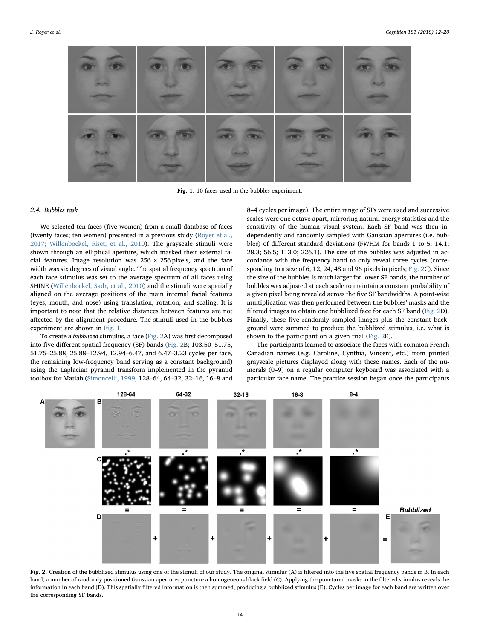<span id="page-2-0"></span>

Fig. 1. 10 faces used in the bubbles experiment.

#### 2.4. Bubbles task

We selected ten faces (five women) from a small database of faces (twenty faces; ten women) presented in a previous study [\(Royer et al.,](#page-8-10) [2017; Willenbockel, Fiset, et al., 2010](#page-8-10)). The grayscale stimuli were shown through an elliptical aperture, which masked their external facial features. Image resolution was  $256 \times 256$  pixels, and the face width was six degrees of visual angle. The spatial frequency spectrum of each face stimulus was set to the average spectrum of all faces using SHINE [\(Willenbockel, Sadr, et al., 2010\)](#page-8-11) and the stimuli were spatially aligned on the average positions of the main internal facial features (eyes, mouth, and nose) using translation, rotation, and scaling. It is important to note that the relative distances between features are not affected by the alignment procedure. The stimuli used in the bubbles experiment are shown in [Fig. 1](#page-2-0).

To create a bubblized stimulus, a face [\(Fig. 2](#page-2-1)A) was first decomposed into five different spatial frequency (SF) bands [\(Fig. 2](#page-2-1)B; 103.50–51.75, 51.75–25.88, 25.88–12.94, 12.94–6.47, and 6.47–3.23 cycles per face, the remaining low-frequency band serving as a constant background) using the Laplacian pyramid transform implemented in the pyramid toolbox for Matlab [\(Simoncelli, 1999;](#page-8-12) 128–64, 64–32, 32–16, 16–8 and 8–4 cycles per image). The entire range of SFs were used and successive scales were one octave apart, mirroring natural energy statistics and the sensitivity of the human visual system. Each SF band was then independently and randomly sampled with Gaussian apertures (i.e. bubbles) of different standard deviations (FWHM for bands 1 to 5: 14.1; 28.3; 56.5; 113.0; 226.1). The size of the bubbles was adjusted in accordance with the frequency band to only reveal three cycles (corresponding to a size of 6, 12, 24, 48 and 96 pixels in pixels; [Fig. 2C](#page-2-1)). Since the size of the bubbles is much larger for lower SF bands, the number of bubbles was adjusted at each scale to maintain a constant probability of a given pixel being revealed across the five SF bandwidths. A point-wise multiplication was then performed between the bubbles' masks and the filtered images to obtain one bubblized face for each SF band [\(Fig. 2D](#page-2-1)). Finally, these five randomly sampled images plus the constant background were summed to produce the bubblized stimulus, i.e. what is shown to the participant on a given trial [\(Fig. 2E](#page-2-1)).

The participants learned to associate the faces with common French Canadian names (e.g. Caroline, Cynthia, Vincent, etc.) from printed grayscale pictures displayed along with these names. Each of the numerals (0–9) on a regular computer keyboard was associated with a particular face name. The practice session began once the participants

<span id="page-2-1"></span>

Fig. 2. Creation of the bubblized stimulus using one of the stimuli of our study. The original stimulus (A) is filtered into the five spatial frequency bands in B. In each band, a number of randomly positioned Gaussian apertures puncture a homogeneous black field (C). Applying the punctured masks to the filtered stimulus reveals the information in each band (D). This spatially filtered information is then summed, producing a bubblized stimulus (E). Cycles per image for each band are written over the corresponding SF bands.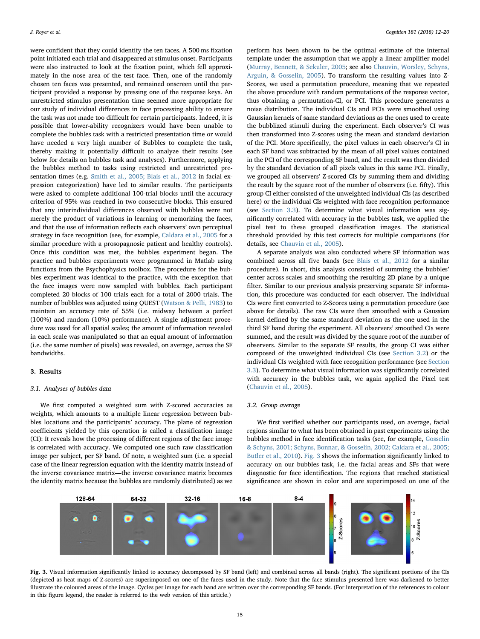were confident that they could identify the ten faces. A 500 ms fixation point initiated each trial and disappeared at stimulus onset. Participants were also instructed to look at the fixation point, which fell approximately in the nose area of the test face. Then, one of the randomly chosen ten faces was presented, and remained onscreen until the participant provided a response by pressing one of the response keys. An unrestricted stimulus presentation time seemed more appropriate for our study of individual differences in face processing ability to ensure the task was not made too difficult for certain participants. Indeed, it is possible that lower-ability recognizers would have been unable to complete the bubbles task with a restricted presentation time or would have needed a very high number of Bubbles to complete the task, thereby making it potentially difficult to analyze their results (see below for details on bubbles task and analyses). Furthermore, applying the bubbles method to tasks using restricted and unrestricted presentation times (e.g. [Smith et al., 2005; Blais et al., 2012](#page-8-8) in facial expression categorization) have led to similar results. The participants were asked to complete additional 100-trial blocks until the accuracy criterion of 95% was reached in two consecutive blocks. This ensured that any interindividual differences observed with bubbles were not merely the product of variations in learning or memorizing the faces, and that the use of information reflects each observers' own perceptual strategy in face recognition (see, for example, [Caldara et al., 2005](#page-7-16) for a similar procedure with a prosopagnosic patient and healthy controls). Once this condition was met, the bubbles experiment began. The practice and bubbles experiments were programmed in Matlab using functions from the Psychophysics toolbox. The procedure for the bubbles experiment was identical to the practice, with the exception that the face images were now sampled with bubbles. Each participant completed 20 blocks of 100 trials each for a total of 2000 trials. The number of bubbles was adjusted using QUEST [\(Watson & Pelli, 1983\)](#page-8-13) to maintain an accuracy rate of 55% (i.e. midway between a perfect (100%) and random (10%) performance). A single adjustment procedure was used for all spatial scales; the amount of information revealed in each scale was manipulated so that an equal amount of information (i.e. the same number of pixels) was revealed, on average, across the SF bandwidths.

# 3. Results

#### 3.1. Analyses of bubbles data

We first computed a weighted sum with Z-scored accuracies as weights, which amounts to a multiple linear regression between bubbles locations and the participants' accuracy. The plane of regression coefficients yielded by this operation is called a classification image (CI): It reveals how the processing of different regions of the face image is correlated with accuracy. We computed one such raw classification image per subject, per SF band. Of note, a weighted sum (i.e. a special case of the linear regression equation with the identity matrix instead of the inverse covariance matrix—the inverse covariance matrix becomes the identity matrix because the bubbles are randomly distributed) as we

perform has been shown to be the optimal estimate of the internal template under the assumption that we apply a linear amplifier model ([Murray, Bennett, & Sekuler, 2005](#page-8-14); see also [Chauvin, Worsley, Schyns,](#page-7-25) [Arguin, & Gosselin, 2005\)](#page-7-25). To transform the resulting values into Z-Scores, we used a permutation procedure, meaning that we repeated the above procedure with random permutations of the response vector, thus obtaining a permutation-CI, or PCI. This procedure generates a noise distribution. The individual CIs and PCIs were smoothed using Gaussian kernels of same standard deviations as the ones used to create the bubblized stimuli during the experiment. Each observer's CI was then transformed into Z-scores using the mean and standard deviation of the PCI. More specifically, the pixel values in each observer's CI in each SF band was subtracted by the mean of all pixel values contained in the PCI of the corresponding SF band, and the result was then divided by the standard deviation of all pixels values in this same PCI. Finally, we grouped all observers' Z-scored CIs by summing them and dividing the result by the square root of the number of observers (i.e. fifty). This group CI either consisted of the unweighted individual CIs (as described here) or the individual CIs weighted with face recognition performance (see [Section 3.3](#page-4-0)). To determine what visual information was significantly correlated with accuracy in the bubbles task, we applied the pixel test to these grouped classification images. The statistical threshold provided by this test corrects for multiple comparisons (for details, see [Chauvin et al., 2005](#page-7-25)).

A separate analysis was also conducted where SF information was combined across all five bands (see [Blais et al., 2012](#page-7-7) for a similar procedure). In short, this analysis consisted of summing the bubbles' center across scales and smoothing the resulting 2D plane by a unique filter. Similar to our previous analysis preserving separate SF information, this procedure was conducted for each observer. The individual CIs were first converted to Z-Scores using a permutation procedure (see above for details). The raw CIs were then smoothed with a Gaussian kernel defined by the same standard deviation as the one used in the third SF band during the experiment. All observers' smoothed CIs were summed, and the result was divided by the square root of the number of observers. Similar to the separate SF results, the group CI was either composed of the unweighted individual CIs (see [Section 3.2\)](#page-3-0) or the individual CIs weighted with face recognition performance (see [Section](#page-4-0) [3.3\)](#page-4-0). To determine what visual information was significantly correlated with accuracy in the bubbles task, we again applied the Pixel test ([Chauvin et al., 2005](#page-7-25)).

#### <span id="page-3-0"></span>3.2. Group average

We first verified whether our participants used, on average, facial regions similar to what has been obtained in past experiments using the bubbles method in face identification tasks (see, for example, [Gosselin](#page-7-14) [& Schyns, 2001; Schyns, Bonnar, & Gosselin, 2002; Caldara et al., 2005;](#page-7-14) [Butler et al., 2010](#page-7-14)). [Fig. 3](#page-3-1) shows the information significantly linked to accuracy on our bubbles task, i.e. the facial areas and SFs that were diagnostic for face identification. The regions that reached statistical significance are shown in color and are superimposed on one of the

<span id="page-3-1"></span>

Fig. 3. Visual information significantly linked to accuracy decomposed by SF band (left) and combined across all bands (right). The significant portions of the CIs (depicted as heat maps of Z-scores) are superimposed on one of the faces used in the study. Note that the face stimulus presented here was darkened to better illustrate the coloured areas of the image. Cycles per image for each band are written over the corresponding SF bands. (For interpretation of the references to colour in this figure legend, the reader is referred to the web version of this article.)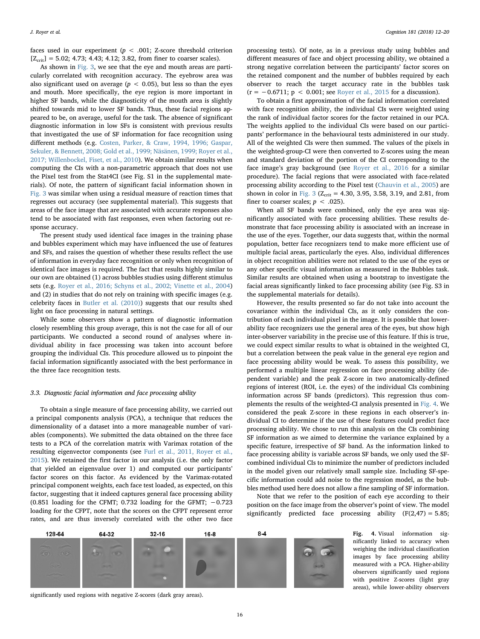faces used in our experiment ( $p < .001$ ; Z-score threshold criterion  $[Z_{\text{crit}}] = 5.02; 4.73; 4.43; 4.12; 3.82,$  from finer to coarser scales).

As shown in [Fig. 3,](#page-3-1) we see that the eye and mouth areas are particularly correlated with recognition accuracy. The eyebrow area was also significant used on average ( $p < 0.05$ ), but less so than the eyes and mouth. More specifically, the eye region is more important in higher SF bands, while the diagnosticity of the mouth area is slightly shifted towards mid to lower SF bands. Thus, these facial regions appeared to be, on average, useful for the task. The absence of significant diagnostic information in low SFs is consistent with previous results that investigated the use of SF information for face recognition using different methods (e.g. [Costen, Parker, & Craw, 1994, 1996; Gaspar,](#page-7-26) [Sekuler, & Bennett, 2008; Gold et al., 1999; Näsänen, 1999; Royer et al.,](#page-7-26) [2017; Willenbockel, Fiset, et al., 2010\)](#page-7-26). We obtain similar results when computing the CIs with a non-parametric approach that does not use the Pixel test from the Stat4CI (see Fig. S1 in the supplemental materials). Of note, the pattern of significant facial information shown in [Fig. 3](#page-3-1) was similar when using a residual measure of reaction times that regresses out accuracy (see supplemental material). This suggests that areas of the face image that are associated with accurate responses also tend to be associated with fast responses, even when factoring out response accuracy.

The present study used identical face images in the training phase and bubbles experiment which may have influenced the use of features and SFs, and raises the question of whether these results reflect the use of information in everyday face recognition or only when recognition of identical face images is required. The fact that results highly similar to our own are obtained (1) across bubbles studies using different stimulus sets (e.g. [Royer et al., 2016; Schyns et al., 2002; Vinette et al., 2004\)](#page-8-15) and (2) in studies that do not rely on training with specific images (e.g. celebrity faces in [Butler et al. \(2010\)](#page-7-27)) suggests that our results shed light on face processing in natural settings.

While some observers show a pattern of diagnostic information closely resembling this group average, this is not the case for all of our participants. We conducted a second round of analyses where individual ability in face processing was taken into account before grouping the individual CIs. This procedure allowed us to pinpoint the facial information significantly associated with the best performance in the three face recognition tests.

#### <span id="page-4-0"></span>3.3. Diagnostic facial information and face processing ability

To obtain a single measure of face processing ability, we carried out a principal components analysis (PCA), a technique that reduces the dimensionality of a dataset into a more manageable number of variables (components). We submitted the data obtained on the three face tests to a PCA of the correlation matrix with Varimax rotation of the resulting eigenvector components (see [Furl et al., 2011, Royer et al.,](#page-7-15) [2015\)](#page-7-15). We retained the first factor in our analysis (i.e. the only factor that yielded an eigenvalue over 1) and computed our participants' factor scores on this factor. As evidenced by the Varimax-rotated principal component weights, each face test loaded, as expected, on this factor, suggesting that it indeed captures general face processing ability (0.851 loading for the CFMT; 0.732 loading for the GFMT;  $-0.723$ loading for the CFPT, note that the scores on the CFPT represent error rates, and are thus inversely correlated with the other two face

processing tests). Of note, as in a previous study using bubbles and different measures of face and object processing ability, we obtained a strong negative correlation between the participants' factor scores on the retained component and the number of bubbles required by each observer to reach the target accuracy rate in the bubbles task  $(r = -0.6711; p < 0.001;$  see [Royer et al., 2015](#page-8-16) for a discussion).

To obtain a first approximation of the facial information correlated with face recognition ability, the individual CIs were weighted using the rank of individual factor scores for the factor retained in our PCA. The weights applied to the individual CIs were based on our participants' performance in the behavioural tests administered in our study. All of the weighted CIs were then summed. The values of the pixels in the weighted-group-CI were then converted to Z-scores using the mean and standard deviation of the portion of the CI corresponding to the face image's gray background (see [Royer et al., 2016](#page-8-15) for a similar procedure). The facial regions that were associated with face-related processing ability according to the Pixel test ([Chauvin et al., 2005](#page-7-25)) are shown in color in [Fig. 3](#page-3-1) ( $Z_{\text{crit}}$  = 4.30, 3.95, 3.58, 3.19, and 2.81, from finer to coarser scales;  $p < .025$ ).

When all SF bands were combined, only the eye area was significantly associated with face processing abilities. These results demonstrate that face processing ability is associated with an increase in the use of the eyes. Together, our data suggests that, within the normal population, better face recognizers tend to make more efficient use of multiple facial areas, particularly the eyes. Also, individual differences in object recognition abilities were not related to the use of the eyes or any other specific visual information as measured in the Bubbles task. Similar results are obtained when using a bootstrap to investigate the facial areas significantly linked to face processing ability (see Fig. S3 in the supplemental materials for details).

However, the results presented so far do not take into account the covariance within the individual CIs, as it only considers the contribution of each individual pixel in the image. It is possible that lowerability face recognizers use the general area of the eyes, but show high inter-observer variability in the precise use of this feature. If this is true, we could expect similar results to what is obtained in the weighted CI, but a correlation between the peak value in the general eye region and face processing ability would be weak. To assess this possibility, we performed a multiple linear regression on face processing ability (dependent variable) and the peak Z-score in two anatomically-defined regions of interest (ROI, i.e. the eyes) of the individual CIs combining information across SF bands (predictors). This regression thus complements the results of the weighted-CI analysis presented in [Fig. 4.](#page-4-1) We considered the peak Z-score in these regions in each observer's individual CI to determine if the use of these features could predict face processing ability. We chose to run this analysis on the CIs combining SF information as we aimed to determine the variance explained by a specific feature, irrespective of SF band. As the information linked to face processing ability is variable across SF bands, we only used the SFcombined individual CIs to minimize the number of predictors included in the model given our relatively small sample size. Including SF-specific information could add noise to the regression model, as the bubbles method used here does not allow a fine sampling of SF information.

Note that we refer to the position of each eye according to their position on the face image from the observer's point of view. The model significantly predicted face processing ability  $(F(2,47) = 5.85;$ 

<span id="page-4-1"></span>

Fig. 4. Visual information significantly linked to accuracy when weighing the individual classification images by face processing ability measured with a PCA. Higher-ability observers significantly used regions with positive Z-scores (light gray areas), while lower-ability observers

significantly used regions with negative Z-scores (dark gray areas).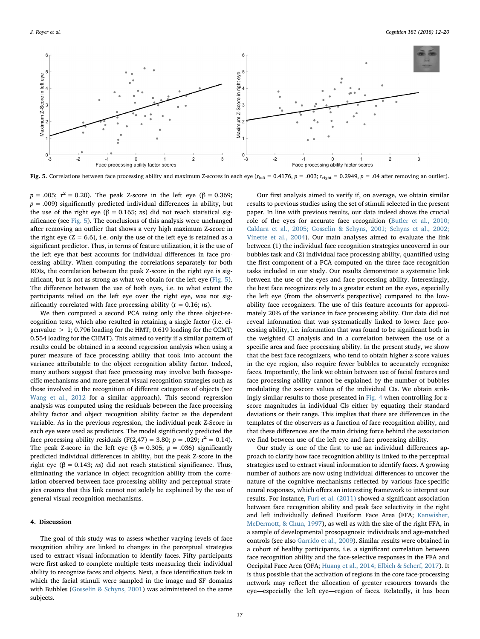<span id="page-5-0"></span>

Fig. 5. Correlations between face processing ability and maximum Z-scores in each eye ( $r_{\text{left}} = 0.4176$ ,  $p = .003$ ;  $r_{\text{right}} = 0.2949$ ,  $p = .04$  after removing an outlier).

 $p = .005$ ;  $r^2 = 0.20$ ). The peak Z-score in the left eye (β = 0.369;  $p = .009$ ) significantly predicted individual differences in ability, but the use of the right eye (β = 0.165; *ns*) did not reach statistical significance (see [Fig. 5\)](#page-5-0). The conclusions of this analysis were unchanged after removing an outlier that shows a very high maximum Z-score in the right eye  $(Z = 6.6)$ , i.e. only the use of the left eye is retained as a significant predictor. Thus, in terms of feature utilization, it is the use of the left eye that best accounts for individual differences in face processing ability. When computing the correlations separately for both ROIs, the correlation between the peak Z-score in the right eye is significant, but is not as strong as what we obtain for the left eye [\(Fig. 5](#page-5-0)). The difference between the use of both eyes, i.e. to what extent the participants relied on the left eye over the right eye, was not significantly correlated with face processing ability ( $r = 0.16$ ; *ns*).

We then computed a second PCA using only the three object-recognition tests, which also resulted in retaining a single factor (i.e. eigenvalue  $> 1$ ; 0.796 loading for the HMT; 0.619 loading for the CCMT; 0.554 loading for the CHMT). This aimed to verify if a similar pattern of results could be obtained in a second regression analysis when using a purer measure of face processing ability that took into account the variance attributable to the object recognition ability factor. Indeed, many authors suggest that face processing may involve both face-specific mechanisms and more general visual recognition strategies such as those involved in the recognition of different categories of objects (see [Wang et al., 2012](#page-8-17) for a similar approach). This second regression analysis was computed using the residuals between the face processing ability factor and object recognition ability factor as the dependent variable. As in the previous regression, the individual peak Z-Score in each eye were used as predictors. The model significantly predicted the face processing ability residuals (F(2,47) = 3.80;  $p = .029$ ;  $r^2 = 0.14$ ). The peak Z-score in the left eye ( $\beta = 0.305$ ;  $p = .036$ ) significantly predicted individual differences in ability, but the peak Z-score in the right eye (β = 0.143; *ns*) did not reach statistical significance. Thus, eliminating the variance in object recognition ability from the correlation observed between face processing ability and perceptual strategies ensures that this link cannot not solely be explained by the use of general visual recognition mechanisms.

### 4. Discussion

The goal of this study was to assess whether varying levels of face recognition ability are linked to changes in the perceptual strategies used to extract visual information to identify faces. Fifty participants were first asked to complete multiple tests measuring their individual ability to recognize faces and objects. Next, a face identification task in which the facial stimuli were sampled in the image and SF domains with Bubbles [\(Gosselin & Schyns, 2001\)](#page-7-14) was administered to the same subjects.

Our first analysis aimed to verify if, on average, we obtain similar results to previous studies using the set of stimuli selected in the present paper. In line with previous results, our data indeed shows the crucial role of the eyes for accurate face recognition ([Butler et al., 2010;](#page-7-27) [Caldara et al., 2005; Gosselin & Schyns, 2001; Schyns et al., 2002;](#page-7-27) [Vinette et al., 2004\)](#page-7-27). Our main analyses aimed to evaluate the link between (1) the individual face recognition strategies uncovered in our bubbles task and (2) individual face processing ability, quantified using the first component of a PCA computed on the three face recognition tasks included in our study. Our results demonstrate a systematic link between the use of the eyes and face processing ability. Interestingly, the best face recognizers rely to a greater extent on the eyes, especially the left eye (from the observer's perspective) compared to the lowability face recognizers. The use of this feature accounts for approximately 20% of the variance in face processing ability. Our data did not reveal information that was systematically linked to lower face processing ability, i.e. information that was found to be significant both in the weighted CI analysis and in a correlation between the use of a specific area and face processing ability. In the present study, we show that the best face recognizers, who tend to obtain higher z-score values in the eye region, also require fewer bubbles to accurately recognize faces. Importantly, the link we obtain between use of facial features and face processing ability cannot be explained by the number of bubbles modulating the z-score values of the individual CIs. We obtain strikingly similar results to those presented in [Fig. 4](#page-4-1) when controlling for zscore magnitudes in individual CIs either by equating their standard deviations or their range. This implies that there are differences in the templates of the observers as a function of face recognition ability, and that these differences are the main driving force behind the association we find between use of the left eye and face processing ability.

Our study is one of the first to use an individual differences approach to clarify how face recognition ability is linked to the perceptual strategies used to extract visual information to identify faces. A growing number of authors are now using individual differences to uncover the nature of the cognitive mechanisms reflected by various face-specific neural responses, which offers an interesting framework to interpret our results. For instance, [Furl et al. \(2011\)](#page-7-15) showed a significant association between face recognition ability and peak face selectivity in the right and left individually defined Fusiform Face Area (FFA; [Kanwisher,](#page-7-28) [McDermott, & Chun, 1997\)](#page-7-28), as well as with the size of the right FFA, in a sample of developmental prosopagnosic individuals and age-matched controls (see also [Garrido et al., 2009](#page-7-23)). Similar results were obtained in a cohort of healthy participants, i.e. a significant correlation between face recognition ability and the face-selective responses in the FFA and Occipital Face Area (OFA; [Huang et al., 2014; Elbich & Scherf, 2017](#page-7-29)). It is thus possible that the activation of regions in the core face-processing network may reflect the allocation of greater resources towards the eye—especially the left eye—region of faces. Relatedly, it has been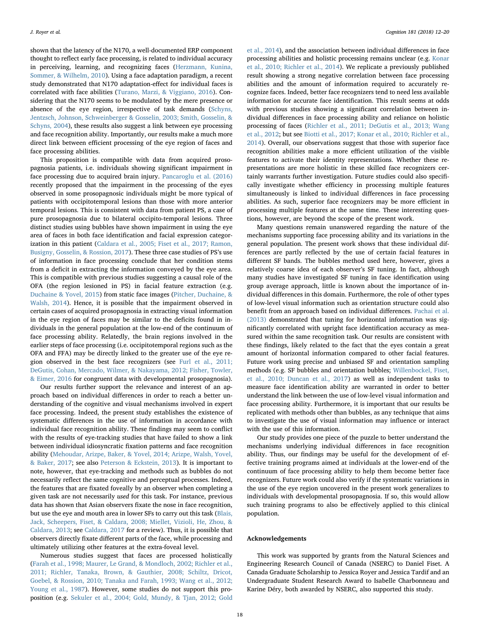shown that the latency of the N170, a well-documented ERP component thought to reflect early face processing, is related to individual accuracy in perceiving, learning, and recognizing faces ([Herzmann, Kunina,](#page-7-30) [Sommer, & Wilhelm, 2010\)](#page-7-30). Using a face adaptation paradigm, a recent study demonstrated that N170 adaptation-effect for individual faces is correlated with face abilities ([Turano, Marzi, & Viggiano, 2016](#page-8-18)). Considering that the N170 seems to be modulated by the mere presence or absence of the eye region, irrespective of task demands [\(Schyns,](#page-8-19) [Jentzsch, Johnson, Schweinberger & Gosselin, 2003; Smith, Gosselin, &](#page-8-19) [Schyns, 2004\)](#page-8-19), these results also suggest a link between eye processing and face recognition ability. Importantly, our results make a much more direct link between efficient processing of the eye region of faces and face processing abilities.

This proposition is compatible with data from acquired prosopagnosia patients, i.e. individuals showing significant impairment in face processing due to acquired brain injury. [Pancaroglu et al. \(2016\)](#page-8-20) recently proposed that the impairment in the processing of the eyes observed in some prosopagnosic individuals might be more typical of patients with occipitotemporal lesions than those with more anterior temporal lesions. This is consistent with data from patient PS, a case of pure prosopagnosia due to bilateral occipito-temporal lesions. Three distinct studies using bubbles have shown impairment in using the eye area of faces in both face identification and facial expression categorization in this patient [\(Caldara et al., 2005; Fiset et al., 2017; Ramon,](#page-7-16) [Busigny, Gosselin, & Rossion, 2017\)](#page-7-16). These three case studies of PS's use of information in face processing conclude that her condition stems from a deficit in extracting the information conveyed by the eye area. This is compatible with previous studies suggesting a causal role of the OFA (the region lesioned in PS) in facial feature extraction (e.g. [Duchaine & Yovel, 2015](#page-7-31)) from static face images ([Pitcher, Duchaine, &](#page-8-21) [Walsh, 2014\)](#page-8-21). Hence, it is possible that the impairment observed in certain cases of acquired prosopagnosia in extracting visual information in the eye region of faces may be similar to the deficits found in individuals in the general population at the low-end of the continuum of face processing ability. Relatedly, the brain regions involved in the earlier steps of face processing (i.e. occipitotemporal regions such as the OFA and FFA) may be directly linked to the greater use of the eye region observed in the best face recognizers (see [Furl et al., 2011;](#page-7-15) [DeGutis, Cohan, Mercado, Wilmer, & Nakayama, 2012; Fisher, Towler,](#page-7-15) [& Eimer, 2016](#page-7-15) for congruent data with developmental prosopagnosia).

Our results further support the relevance and interest of an approach based on individual differences in order to reach a better understanding of the cognitive and visual mechanisms involved in expert face processing. Indeed, the present study establishes the existence of systematic differences in the use of information in accordance with individual face recognition ability. These findings may seem to conflict with the results of eye-tracking studies that have failed to show a link between individual idiosyncratic fixation patterns and face recognition ability ([Mehoudar, Arizpe, Baker, & Yovel, 2014; Arizpe, Walsh, Yovel,](#page-8-22) [& Baker, 2017](#page-8-22); see also [Peterson & Eckstein, 2013\)](#page-8-23). It is important to note, however, that eye-tracking and methods such as bubbles do not necessarily reflect the same cognitive and perceptual processes. Indeed, the features that are fixated foveally by an observer when completing a given task are not necessarily used for this task. For instance, previous data has shown that Asian observers fixate the nose in face recognition, but use the eye and mouth area in lower SFs to carry out this task ([Blais,](#page-7-32) [Jack, Scheepers, Fiset, & Caldara, 2008; Miellet, Vizioli, He, Zhou, &](#page-7-32) [Caldara, 2013](#page-7-32); see [Caldara, 2017](#page-7-33) for a review). Thus, it is possible that observers directly fixate different parts of the face, while processing and ultimately utilizing other features at the extra-foveal level.

Numerous studies suggest that faces are processed holistically ([Farah et al., 1998; Maurer, Le Grand, & Mondloch, 2002; Richler et al.,](#page-7-3) [2011; Richler, Tanaka, Brown, & Gauthier, 2008; Schiltz, Dricot,](#page-7-3) [Goebel, & Rossion, 2010; Tanaka and Farah, 1993; Wang et al., 2012;](#page-7-3) [Young et al., 1987\)](#page-7-3). However, some studies do not support this proposition (e.g. [Sekuler et al., 2004; Gold, Mundy, & Tjan, 2012; Gold](#page-8-24)

[et al., 2014](#page-8-24)), and the association between individual differences in face processing abilities and holistic processing remains unclear (e.g. [Konar](#page-7-5) [et al., 2010; Richler et al., 2014\)](#page-7-5). We replicate a previously published result showing a strong negative correlation between face processing abilities and the amount of information required to accurately recognize faces. Indeed, better face recognizers tend to need less available information for accurate face identification. This result seems at odds with previous studies showing a significant correlation between individual differences in face processing ability and reliance on holistic processing of faces [\(Richler et al., 2011; DeGutis et al., 2013; Wang](#page-8-1) [et al., 2012](#page-8-1); but see [Biotti et al., 2017; Konar et al., 2010; Richler et al.,](#page-7-34) [2014\)](#page-7-34). Overall, our observations suggest that those with superior face recognition abilities make a more efficient utilization of the visible features to activate their identity representations. Whether these representations are more holistic in these skilled face recognizers certainly warrants further investigation. Future studies could also specifically investigate whether efficiency in processing multiple features simultaneously is linked to individual differences in face processing abilities. As such, superior face recognizers may be more efficient in processing multiple features at the same time. These interesting questions, however, are beyond the scope of the present work.

Many questions remain unanswered regarding the nature of the mechanisms supporting face processing ability and its variations in the general population. The present work shows that these individual differences are partly reflected by the use of certain facial features in different SF bands. The bubbles method used here, however, gives a relatively coarse idea of each observer's SF tuning. In fact, although many studies have investigated SF tuning in face identification using group average approach, little is known about the importance of individual differences in this domain. Furthermore, the role of other types of low-level visual information such as orientation structure could also benefit from an approach based on individual differences. [Pachai et al.](#page-8-5) [\(2013\)](#page-8-5) demonstrated that tuning for horizontal information was significantly correlated with upright face identification accuracy as measured within the same recognition task. Our results are consistent with these findings, likely related to the fact that the eyes contain a great amount of horizontal information compared to other facial features. Future work using precise and unbiased SF and orientation sampling methods (e.g. SF bubbles and orientation bubbles; [Willenbockel, Fiset,](#page-8-25) [et al., 2010; Duncan et al., 2017\)](#page-8-25) as well as independent tasks to measure face identification ability are warranted in order to better understand the link between the use of low-level visual information and face processing ability. Furthermore, it is important that our results be replicated with methods other than bubbles, as any technique that aims to investigate the use of visual information may influence or interact with the use of this information.

Our study provides one piece of the puzzle to better understand the mechanisms underlying individual differences in face recognition ability. Thus, our findings may be useful for the development of effective training programs aimed at individuals at the lower-end of the continuum of face processing ability to help them become better face recognizers. Future work could also verify if the systematic variations in the use of the eye region uncovered in the present work generalizes to individuals with developmental prosopagnosia. If so, this would allow such training programs to also be effectively applied to this clinical population.

### Acknowledgements

This work was supported by grants from the Natural Sciences and Engineering Research Council of Canada (NSERC) to Daniel Fiset. A Canada Graduate Scholarship to Jessica Royer and Jessica Tardif and an Undergraduate Student Research Award to Isabelle Charbonneau and Karine Déry, both awarded by NSERC, also supported this study.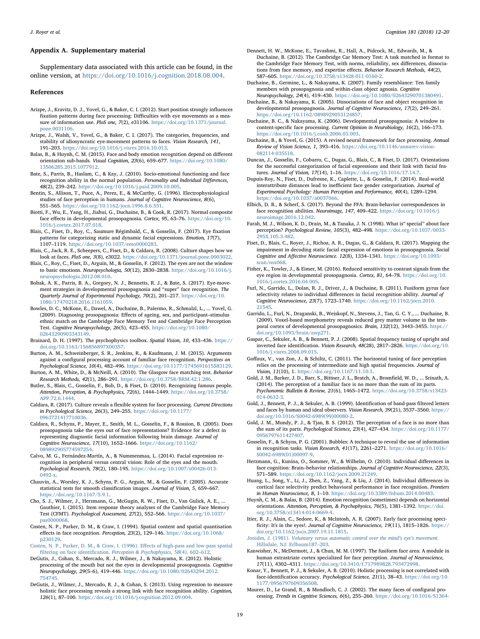#### Appendix A. Supplementary material

Supplementary data associated with this article can be found, in the online version, at [https://doi.org/10.1016/j.cognition.2018.08.004.](https://doi.org/10.1016/j.cognition.2018.08.004)

#### References

- <span id="page-7-13"></span>Arizpe, J., Kravitz, D. J., Yovel, G., & Baker, C. I. (2012). Start position strongly influences fixation patterns during face processing: Difficulties with eye movements as a measure of information use. PloS one, 7(2), e31106. [https://doi.org/10.1371/journal.](https://doi.org/10.1371/journal.pone.0031106) [pone.0031106](https://doi.org/10.1371/journal.pone.0031106).
- Arizpe, J., Walsh, V., Yovel, G., & Baker, C. I. (2017). The categories, frequencies, and stability of idiosyncratic eye-movement patterns to faces. Vision Research, 141, 191–203. <https://doi.org/10.1016/j.visres.2016.10.013>.
- <span id="page-7-8"></span>Balas, B., & Huynh, C. M. (2015). Face and body emotion recognition depend on different orientation sub-bands. Visual Cognition, 23(6), 659–677. [https://doi.org/10.1080/](https://doi.org/10.1080/13506285.2015.1077912) [13506285.2015.1077912](https://doi.org/10.1080/13506285.2015.1077912).
- <span id="page-7-2"></span>Bate, S., Parris, B., Haslam, C., & Kay, J. (2010). Socio-emotional functioning and face recognition ability in the normal population. Personality and Individual Differences, 48(2), 239–242. <https://doi.org/10.1016/j.paid.2009.10.005>.
- <span id="page-7-6"></span>Bentin, S., Allison, T., Puce, A., Perez, E., & McCarthy, G. (1996). Electrophysiological studies of face perception in humans. Journal of Cognitive Neuroscience, 8(6), 551–565. <https://doi.org/10.1162/jocn.1996.8.6.551>.
- <span id="page-7-34"></span>Biotti, F., Wu, E., Yang, H., Jiahui, G., Duchaine, B., & Cook, R. (2017). Normal composite face effects in developmental prosopagnosia. Cortex, 95, 63–76. [https://doi.org/10.](https://doi.org/10.1016/j.cortex.2017.07.018) [1016/j.cortex.2017.07.018.](https://doi.org/10.1016/j.cortex.2017.07.018)
- Blais, C., Fiset, D., Roy, C., Saumure Régimbald, C., & Gosselin, F. (2017). Eye fixation patterns for categorizing static and dynamic facial expressions. Emotion, 17(7), 1107–1119. <https://doi.org/10.1037/emo0000283>.
- <span id="page-7-32"></span>Blais, C., Jack, R. E., Scheepers, C., Fiset, D., & Caldara, R. (2008). Culture shapes how we look at faces. PloS one, 3(8), e3022. [https://doi.org/10.1371/journal.pone.0003022.](https://doi.org/10.1371/journal.pone.0003022)
- <span id="page-7-7"></span>Blais, C., Roy, C., Fiset, D., Arguin, M., & Gosselin, F. (2012). The eyes are not the window to basic emotions. Neuropsychologia, 50(12), 2830–2838. [https://doi.org/10.1016/j.](https://doi.org/10.1016/j.neuropsychologia.2012.08.010) [neuropsychologia.2012.08.010](https://doi.org/10.1016/j.neuropsychologia.2012.08.010).
- <span id="page-7-12"></span>Bobak, A. K., Parris, B. A., Gregory, N. J., Bennetts, R. J., & Bate, S. (2017). Eye-movement strategies in developmental prosopagnosia and "super" face recognition. The Quarterly Journal of Experimental Psychology, 70(2), 201–217. [https://doi.org/10.](https://doi.org/10.1080/17470218.2016.1161059) [1080/17470218.2016.1161059.](https://doi.org/10.1080/17470218.2016.1161059)
- Bowles, D. C., McKone, E., Dawel, A., Duchaine, B., Palermo, R., Schmalzl, L., ... Yovel, G. (2009). Diagnosing prosopagnosia: Effects of ageing, sex, and participant–stimulus ethnic match on the Cambridge Face Memory Test and Cambridge Face Perception Test. Cognitive Neuropsychology, 26(5), 423–455. [https://doi.org/10.1080/](https://doi.org/10.1080/02643290903343149) [02643290903343149.](https://doi.org/10.1080/02643290903343149)
- <span id="page-7-24"></span>Brainard, D. H. (1997). The psychophysics toolbox. Spatial Vision, 10, 433–436. [https://](https://doi.org/10.1163/156856897X00357) [doi.org/10.1163/156856897X00357.](https://doi.org/10.1163/156856897X00357)
- <span id="page-7-1"></span>Burton, A. M., Schweinberger, S. R., Jenkins, R., & Kaufmann, J. M. (2015). Arguments against a configural processing account of familiar face recognition. Perspectives on Psychological Science, 10(4), 482–496. [https://doi.org/10.1177/1745691615583129.](https://doi.org/10.1177/1745691615583129)
- <span id="page-7-20"></span>Burton, A. M., White, D., & McNeill, A. (2010). The Glasgow face matching test. Behavior Research Methods, 42(1), 286–291. <https://doi.org/10.3758/BRM.42.1.286>.
- <span id="page-7-27"></span>Butler, S., Blais, C., Gosselin, F., Bub, D., & Fiset, D. (2010). Recognizing famous people. Attention, Perception, & Psychophysics, 72(6), 1444-1449. https://doi.org/10.37 [APP.72.6.1444.](https://doi.org/10.3758/APP.72.6.1444)
- <span id="page-7-33"></span>Caldara, R. (2017). Culture reveals a flexible system for face processing. Current Directions in Psychological Science, 26(3), 249–255. [https://doi.org/10.1177/](https://doi.org/10.1177/0963721417710036) [0963721417710036.](https://doi.org/10.1177/0963721417710036)
- <span id="page-7-16"></span>Caldara, R., Schyns, P., Mayer, E., Smith, M. L., Gosselin, F., & Rossion, B. (2005). Does prosopagnosia take the eyes out of face representations? Evidence for a defect in representing diagnostic facial information following brain damage. Journal of Cognitive Neuroscience, 17(10), 1652–1666. [https://doi.org/10.1162/](https://doi.org/10.1162/089892905774597254) [089892905774597254](https://doi.org/10.1162/089892905774597254).
- Calvo, M. G., Fernández-Martín, A., & Nummenmaa, L. (2014). Facial expression recognition in peripheral versus central vision: Role of the eyes and the mouth. Psychological Research, 78(2), 180–195. [https://doi.org/10.1007/s00426-013-](https://doi.org/10.1007/s00426-013-0492-x) [0492-x](https://doi.org/10.1007/s00426-013-0492-x).
- <span id="page-7-25"></span>Chauvin, A., Worsley, K. J., Schyns, P. G., Arguin, M., & Gosselin, F. (2005). Accurate statistical tests for smooth classification images. Journal of Vision, 5, 659–667. [https://doi.org/10.1167/5.9.1.](https://doi.org/10.1167/5.9.1)
- <span id="page-7-18"></span>Cho, S. J., Wilmer, J., Herzmann, G., McGugin, R. W., Fiset, D., Van Gulick, A. E., ... Gauthier, I. (2015). Item response theory analyses of the Cambridge Face Memory Test (CFMT). Psychological Assessment, 27(2), 552–566. [https://doi.org/10.1037/](https://doi.org/10.1037/pas0000068) [pas0000068](https://doi.org/10.1037/pas0000068).
- <span id="page-7-26"></span>Costen, N. P., Parker, D. M., & Craw, I. (1994). Spatial content and spatial quantisation effects in face recognition. Perception, 23(2), 129–146. [https://doi.org/10.1068/](https://doi.org/10.1068/p230129) [p230129.](https://doi.org/10.1068/p230129)
- [Costen, N. P., Parker, D. M., & Craw, I. \(1996\). E](http://refhub.elsevier.com/S0010-0277(18)30209-9/h9005)ffects of high-pass and low-pass spatial filtering on face identification. [Perception & Psychophysics, 58](http://refhub.elsevier.com/S0010-0277(18)30209-9/h9005)(4), 602–612.
- DeGutis, J., Cohan, S., Mercado, R. J., Wilmer, J., & Nakayama, K. (2012). Holistic processing of the mouth but not the eyes in developmental prosopagnosia. Cognitive Neuropsychology, 29(5–6), 419–446. [https://doi.org/10.1080/02643294.2012.](https://doi.org/10.1080/02643294.2012.754745) [754745](https://doi.org/10.1080/02643294.2012.754745).
- <span id="page-7-4"></span>DeGutis, J., Wilmer, J., Mercado, R. J., & Cohan, S. (2013). Using regression to measure holistic face processing reveals a strong link with face recognition ability. Cognition, 126(1), 87–100. <https://doi.org/10.1016/j.cognition.2012.09.004>.
- <span id="page-7-22"></span>Dennett, H. W., McKone, E., Tavashmi, R., Hall, A., Pidcock, M., Edwards, M., & Duchaine, B. (2012). The Cambridge Car Memory Test: A task matched in format to the Cambridge Face Memory Test, with norms, reliability, sex differences, dissociations from face memory, and expertise effects. Behavior Research Methods, 44(2), 587–605. <https://doi.org/10.3758/s13428-011-0160-2>.
- <span id="page-7-19"></span>Duchaine, B., Germine, L., & Nakayama, K. (2007). Family resemblance: Ten family members with prosopagnosia and within-class object agnosia. Cognitive Neuropsychology, 24(4), 419–430. [https://doi.org/10.1080/02643290701380491.](https://doi.org/10.1080/02643290701380491)
- <span id="page-7-21"></span>Duchaine, B., & Nakayama, K. (2005). Dissociations of face and object recognition in developmental prosopagnosia. Journal of Cognitive Neuroscience, 17(2), 249–261. [https://doi.org/10.1162/0898929053124857.](https://doi.org/10.1162/0898929053124857)
- <span id="page-7-17"></span>Duchaine, B. C., & Nakayama, K. (2006). Developmental prosopagnosia: A window to content-specific face processing. Current Opinion in Neurobiology, 16(2), 166–173. <https://doi.org/10.1016/j.conb.2006.03.003>.
- <span id="page-7-31"></span>Duchaine, B., & Yovel, G. (2015). A revised neural framework for face processing. Annual Review of Vision Science, 1, 393–416. [https://doi.org/10.1146/annurev-vision-](https://doi.org/10.1146/annurev-vision-082114-035518)[082114-035518.](https://doi.org/10.1146/annurev-vision-082114-035518)
- <span id="page-7-9"></span>Duncan, J., Gosselin, F., Cobarro, C., Dugas, G., Blais, C., & Fiset, D. (2017). Orientations for the successful categorization of facial expressions and their link with facial features. Journal of Vision, 17(14), 1–16. [https://doi.org/10.1016/17.14.7.](https://doi.org/10.1016/17.14.7)
- <span id="page-7-0"></span>Dupuis-Roy, N., Fiset, D., Dufresne, K., Caplette, L., & Gosselin, F. (2014). Real-world interattribute distances lead to inefficient face gender categorization. Journal of Experimental Psychology: Human Perception and Performance, 40(4), 1289–1294. [https://doi.org/10.1037/a0037066.](https://doi.org/10.1037/a0037066)
- Elbich, D. B., & Scherf, S. (2017). Beyond the FFA: Brain-behavior correspondences in face recognition abilities. Neuroimage, 147, 409-422. [https://doi.org/10.1016/j.](https://doi.org/10.1016/j.neuroimage.2016.12.042) [neuroimage.2016.12.042.](https://doi.org/10.1016/j.neuroimage.2016.12.042)
- <span id="page-7-3"></span>Farah, M. J., Wilson, K. D., Drain, M., & Tanaka, J. N. (1998). What is" special" about face perception? Psychological Review, 105(3), 482–498. [https://doi.org/10.1037/0033-](https://doi.org/10.1037/0033-295X.105.3.482) [295X.105.3.482.](https://doi.org/10.1037/0033-295X.105.3.482)
- Fiset, D., Blais, C., Royer, J., Richoz, A. R., Dugas, G., & Caldara, R. (2017). Mapping the impairment in decoding static facial expression of emotions in prosopagnosia. Social Cognitive and Affective Neuroscience. 12(8), 1334–1341. [https://doi.org/10.1093/](https://doi.org/10.1093/scan/nsx068) [scan/nsx068](https://doi.org/10.1093/scan/nsx068).
- Fisher, K., Towler, J., & Eimer, M. (2016). Reduced sensitivity to contrast signals from the eye region in developmental prosopagnosia. Cortex, 81, 64–78. [https://doi.org/10.](https://doi.org/10.1016/j.cortex.2016.04.005) [1016/j.cortex.2016.04.005.](https://doi.org/10.1016/j.cortex.2016.04.005)
- <span id="page-7-15"></span>Furl, N., Garrido, L., Dolan, R. J., Driver, J., & Duchaine, B. (2011). Fusiform gyrus face selectivity relates to individual differences in facial recognition ability. Journal of Cognitive Neuroscience, 23(7), 1723–1740. [https://doi.org/10.1162/jocn.2010.](https://doi.org/10.1162/jocn.2010.21545) [21545.](https://doi.org/10.1162/jocn.2010.21545)
- <span id="page-7-23"></span>Garrido, L., Furl, N., Draganski, B., Weiskopf, N., Stevens, J., Tan, G. C. Y., ... Duchaine, B. (2009). Voxel-based morphometry reveals reduced grey matter volume in the temporal cortex of developmental prosopagnosics. Brain, 132(12), 3443–3455. [https://](https://doi.org/10.1093/brain/awp271) [doi.org/10.1093/brain/awp271.](https://doi.org/10.1093/brain/awp271)
- Gaspar, C., Sekuler, A. B., & Bennett, P. J. (2008). Spatial frequency tuning of upright and inverted face identification. Vision Research, 48(28), 2817–2826. [https://doi.org/10.](https://doi.org/10.1016/j.visres.2008.09.015) [1016/j.visres.2008.09.015](https://doi.org/10.1016/j.visres.2008.09.015).
- <span id="page-7-11"></span>Goffaux, V., van Zon, J., & Schiltz, C. (2011). The horizontal tuning of face perception relies on the processing of intermediate and high spatial frequencies. Journal of Vision, 11(10), 1. [https://doi.org/10.1167/11.10.1.](https://doi.org/10.1167/11.10.1)
- Gold, J. M., Barker, J. D., Barr, S., Bittner, J. L., Bratch, A., Bromfield, W. D., ... Srinath, A. (2014). The perception of a familiar face is no more than the sum of its parts. Psychonomic Bulletin & Review, 21(6), 1465–1472. [https://doi.org/10.3758/s13423-](https://doi.org/10.3758/s13423-014-0632-3) [014-0632-3](https://doi.org/10.3758/s13423-014-0632-3).
- <span id="page-7-10"></span>Gold, J., Bennett, P. J., & Sekuler, A. B. (1999). Identification of band-pass filtered letters and faces by human and ideal observers. Vision Research, 39(21), 3537–3560. [https://](https://doi.org/10.1016/S0042-6989(99)00080-2) [doi.org/10.1016/S0042-6989\(99\)00080-2.](https://doi.org/10.1016/S0042-6989(99)00080-2)
- Gold, J. M., Mundy, P. J., & Tjan, B. S. (2012). The perception of a face is no more than the sum of its parts. Psychological Science, 23(4), 427–434. [https://doi.org/10.1177/](https://doi.org/10.1177/0956797611427407) [0956797611427407.](https://doi.org/10.1177/0956797611427407)
- <span id="page-7-14"></span>Gosselin, F., & Schyns, P. G. (2001). Bubbles: A technique to reveal the use of information in recognition tasks. Vision Research, 41(17), 2261–2271. [https://doi.org/10.1016/](https://doi.org/10.1016/S0042-6989(01)00097-9) [S0042-6989\(01\)00097-9](https://doi.org/10.1016/S0042-6989(01)00097-9).
- <span id="page-7-30"></span>Herzmann, G., Kunina, O., Sommer, W., & Wilhelm, O. (2010). Individual differences in face cognition: Brain–behavior relationships. Journal of Cognitive Neuroscience, 22(3), 571–589. [https://doi.org/10.1162/jocn.2009.21249.](https://doi.org/10.1162/jocn.2009.21249)
- <span id="page-7-29"></span>Huang, L., Song, Y., Li, J., Zhen, Z., Yang, Z., & Liu, J. (2014). Individual differences in cortical face selectivity predict behavioral performance in face recognition. Frontiers in Human Neuroscience, 8, 1–10. [https://doi.org/10.3389/fnhum.2014.00483.](https://doi.org/10.3389/fnhum.2014.00483)
- Huynh, C. M., & Balas, B. (2014). Emotion recognition (sometimes) depends on horizontal orientations. Attention, Perception, & Psychophysics, 76(5), 1381–1392. [https://doi.](https://doi.org/10.3758/s13414-014-0669-4) [org/10.3758/s13414-014-0669-4.](https://doi.org/10.3758/s13414-014-0669-4)
- Itier, R. J., Alain, C., Sedore, K., & McIntosh, A. R. (2007). Early face processing specificity: It's in the eyes!. Journal of Cognitive Neuroscience, 19(11), 1815–1826. [https://](https://doi.org/10.1162/jocn.2007.19.11.1815) [doi.org/10.1162/jocn.2007.19.11.1815](https://doi.org/10.1162/jocn.2007.19.11.1815).
- Jonides, J. (1981). [Voluntary versus automatic control over the mind](http://refhub.elsevier.com/S0010-0277(18)30209-9/h0225)'s eye's movement. [Hillsdale, NJ: Erlbaum187](http://refhub.elsevier.com/S0010-0277(18)30209-9/h0225)–203.
- <span id="page-7-28"></span>Kanwisher, N., McDermott, J., & Chun, M. M. (1997). The fusiform face area: A module in human extrastriate cortex specialized for face perception. Journal of Neuroscience, 17(11), 4302–4311. <https://doi.org/10.3410/f.717989828.793472998>.
- <span id="page-7-5"></span>Konar, Y., Bennett, P. J., & Sekuler, A. B. (2010). Holistic processing is not correlated with face-identification accuracy. Psychological Science, 21(1), 38–43. [https://doi.org/10.](https://doi.org/10.1177/0956797609356508) [1177/0956797609356508](https://doi.org/10.1177/0956797609356508).
- Maurer, D., Le Grand, R., & Mondloch, C. J. (2002). The many faces of configural processing. Trends in Cognitive Sciences, 6(6), 255–260. [https://doi.org/10.1016/S1364-](https://doi.org/10.1016/S1364-6613(02)01903-4)